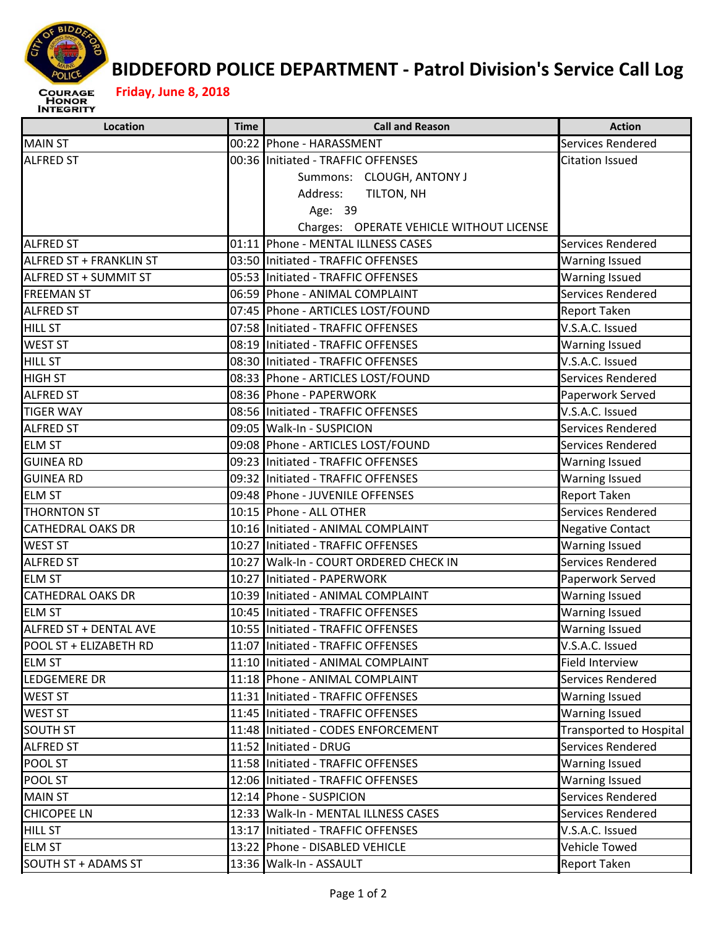

## **BIDDEFORD POLICE DEPARTMENT ‐ Patrol Division's Service Call Log**

## **Friday, June 8, 2018**

| Location                       | <b>Time</b> | <b>Call and Reason</b>                   | <b>Action</b>                  |
|--------------------------------|-------------|------------------------------------------|--------------------------------|
| <b>MAIN ST</b>                 |             | 00:22 Phone - HARASSMENT                 | Services Rendered              |
| <b>ALFRED ST</b>               |             | 00:36 Initiated - TRAFFIC OFFENSES       | <b>Citation Issued</b>         |
|                                |             | Summons: CLOUGH, ANTONY J                |                                |
|                                |             | Address:<br>TILTON, NH                   |                                |
|                                |             | Age: 39                                  |                                |
|                                |             | Charges: OPERATE VEHICLE WITHOUT LICENSE |                                |
| <b>ALFRED ST</b>               |             | 01:11 Phone - MENTAL ILLNESS CASES       | Services Rendered              |
| <b>ALFRED ST + FRANKLIN ST</b> |             | 03:50 Initiated - TRAFFIC OFFENSES       | <b>Warning Issued</b>          |
| ALFRED ST + SUMMIT ST          |             | 05:53 Initiated - TRAFFIC OFFENSES       | <b>Warning Issued</b>          |
| <b>FREEMAN ST</b>              |             | 06:59 Phone - ANIMAL COMPLAINT           | Services Rendered              |
| <b>ALFRED ST</b>               |             | 07:45 Phone - ARTICLES LOST/FOUND        | Report Taken                   |
| <b>HILL ST</b>                 |             | 07:58 Initiated - TRAFFIC OFFENSES       | V.S.A.C. Issued                |
| <b>WEST ST</b>                 |             | 08:19 Initiated - TRAFFIC OFFENSES       | <b>Warning Issued</b>          |
| <b>HILL ST</b>                 |             | 08:30 Initiated - TRAFFIC OFFENSES       | V.S.A.C. Issued                |
| <b>HIGH ST</b>                 |             | 08:33 Phone - ARTICLES LOST/FOUND        | Services Rendered              |
| <b>ALFRED ST</b>               |             | 08:36 Phone - PAPERWORK                  | Paperwork Served               |
| <b>TIGER WAY</b>               |             | 08:56 Initiated - TRAFFIC OFFENSES       | V.S.A.C. Issued                |
| <b>ALFRED ST</b>               |             | 09:05 Walk-In - SUSPICION                | Services Rendered              |
| <b>ELM ST</b>                  |             | 09:08 Phone - ARTICLES LOST/FOUND        | Services Rendered              |
| <b>GUINEA RD</b>               |             | 09:23 Initiated - TRAFFIC OFFENSES       | <b>Warning Issued</b>          |
| <b>GUINEA RD</b>               |             | 09:32 Initiated - TRAFFIC OFFENSES       | <b>Warning Issued</b>          |
| <b>ELM ST</b>                  |             | 09:48 Phone - JUVENILE OFFENSES          | Report Taken                   |
| <b>THORNTON ST</b>             |             | 10:15 Phone - ALL OTHER                  | Services Rendered              |
| <b>CATHEDRAL OAKS DR</b>       |             | 10:16 Initiated - ANIMAL COMPLAINT       | <b>Negative Contact</b>        |
| <b>WEST ST</b>                 |             | 10:27 Initiated - TRAFFIC OFFENSES       | <b>Warning Issued</b>          |
| <b>ALFRED ST</b>               |             | 10:27 Walk-In - COURT ORDERED CHECK IN   | Services Rendered              |
| <b>ELM ST</b>                  |             | 10:27 Initiated - PAPERWORK              | Paperwork Served               |
| <b>CATHEDRAL OAKS DR</b>       |             | 10:39 Initiated - ANIMAL COMPLAINT       | <b>Warning Issued</b>          |
| <b>ELM ST</b>                  |             | 10:45 Initiated - TRAFFIC OFFENSES       | <b>Warning Issued</b>          |
| ALFRED ST + DENTAL AVE         |             | 10:55 Initiated - TRAFFIC OFFENSES       | <b>Warning Issued</b>          |
| POOL ST + ELIZABETH RD         |             | 11:07 Initiated - TRAFFIC OFFENSES       | V.S.A.C. Issued                |
| <b>ELM ST</b>                  |             | 11:10 Initiated - ANIMAL COMPLAINT       | Field Interview                |
| LEDGEMERE DR                   |             | 11:18 Phone - ANIMAL COMPLAINT           | Services Rendered              |
| <b>WEST ST</b>                 |             | 11:31 Initiated - TRAFFIC OFFENSES       | <b>Warning Issued</b>          |
| WEST ST                        |             | 11:45 Initiated - TRAFFIC OFFENSES       | <b>Warning Issued</b>          |
| SOUTH ST                       |             | 11:48 Initiated - CODES ENFORCEMENT      | <b>Transported to Hospital</b> |
| <b>ALFRED ST</b>               |             | 11:52 Initiated - DRUG                   | Services Rendered              |
| POOL ST                        |             | 11:58 Initiated - TRAFFIC OFFENSES       | Warning Issued                 |
| POOL ST                        |             | 12:06 Initiated - TRAFFIC OFFENSES       | Warning Issued                 |
| <b>MAIN ST</b>                 |             | 12:14 Phone - SUSPICION                  | Services Rendered              |
| CHICOPEE LN                    |             | 12:33 Walk-In - MENTAL ILLNESS CASES     | Services Rendered              |
| <b>HILL ST</b>                 |             | 13:17 Initiated - TRAFFIC OFFENSES       | V.S.A.C. Issued                |
| <b>ELM ST</b>                  |             | 13:22 Phone - DISABLED VEHICLE           | Vehicle Towed                  |
| SOUTH ST + ADAMS ST            |             | 13:36 Walk-In - ASSAULT                  | Report Taken                   |